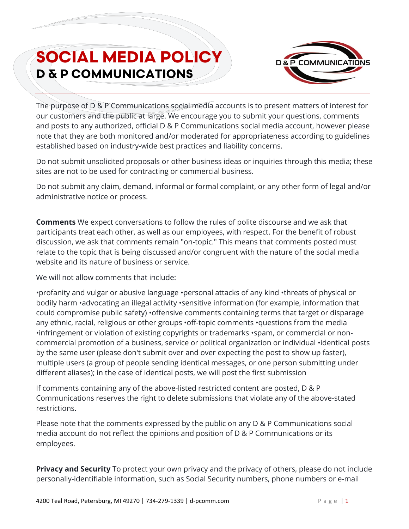## **SOCIAL MEDIA POLICY**<br>**D & P COMMUNICATIONS**



The purpose of D & P Communications social media accounts is to present matters of interest for our customers and the public at large. We encourage you to submit your questions, comments and posts to any authorized, official D & P Communications social media account, however please note that they are both monitored and/or moderated for appropriateness according to guidelines established based on industry-wide best practices and liability concerns.

Do not submit unsolicited proposals or other business ideas or inquiries through this media; these sites are not to be used for contracting or commercial business.

Do not submit any claim, demand, informal or formal complaint, or any other form of legal and/or administrative notice or process.

**Comments** We expect conversations to follow the rules of polite discourse and we ask that participants treat each other, as well as our employees, with respect. For the benefit of robust discussion, we ask that comments remain "on-topic." This means that comments posted must relate to the topic that is being discussed and/or congruent with the nature of the social media website and its nature of business or service.

We will not allow comments that include:

•profanity and vulgar or abusive language •personal attacks of any kind •threats of physical or bodily harm •advocating an illegal activity •sensitive information (for example, information that could compromise public safety) •offensive comments containing terms that target or disparage any ethnic, racial, religious or other groups •off-topic comments •questions from the media •infringement or violation of existing copyrights or trademarks •spam, or commercial or noncommercial promotion of a business, service or political organization or individual •identical posts by the same user (please don't submit over and over expecting the post to show up faster), multiple users (a group of people sending identical messages, or one person submitting under different aliases); in the case of identical posts, we will post the first submission

If comments containing any of the above-listed restricted content are posted, D & P Communications reserves the right to delete submissions that violate any of the above-stated restrictions.

Please note that the comments expressed by the public on any D & P Communications social media account do not reflect the opinions and position of D & P Communications or its employees.

**Privacy and Security** To protect your own privacy and the privacy of others, please do not include personally-identifiable information, such as Social Security numbers, phone numbers or e-mail